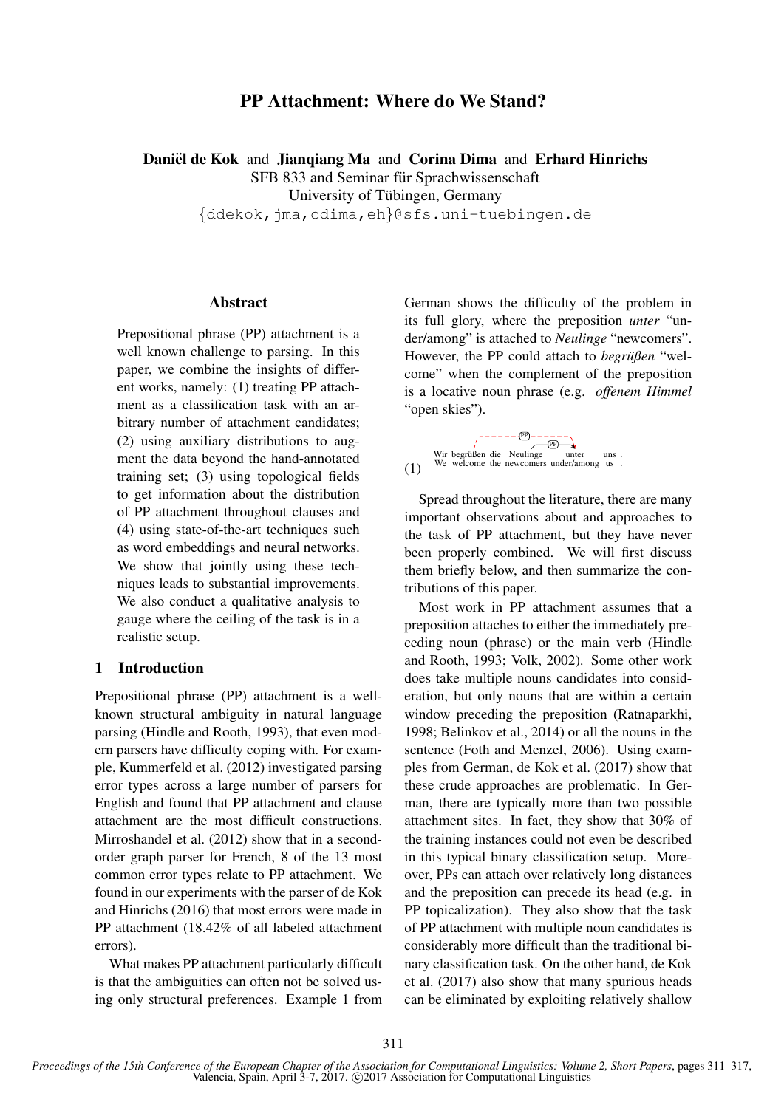# PP Attachment: Where do We Stand?

Daniël de Kok and Jianqiang Ma and Corina Dima and Erhard Hinrichs

SFB 833 and Seminar für Sprachwissenschaft

University of Tübingen, Germany

{ddekok,jma,cdima,eh}@sfs.uni-tuebingen.de

### Abstract

Prepositional phrase (PP) attachment is a well known challenge to parsing. In this paper, we combine the insights of different works, namely: (1) treating PP attachment as a classification task with an arbitrary number of attachment candidates; (2) using auxiliary distributions to augment the data beyond the hand-annotated training set; (3) using topological fields to get information about the distribution of PP attachment throughout clauses and (4) using state-of-the-art techniques such as word embeddings and neural networks. We show that jointly using these techniques leads to substantial improvements. We also conduct a qualitative analysis to gauge where the ceiling of the task is in a realistic setup.

### 1 Introduction

Prepositional phrase (PP) attachment is a wellknown structural ambiguity in natural language parsing (Hindle and Rooth, 1993), that even modern parsers have difficulty coping with. For example, Kummerfeld et al. (2012) investigated parsing error types across a large number of parsers for English and found that PP attachment and clause attachment are the most difficult constructions. Mirroshandel et al. (2012) show that in a secondorder graph parser for French, 8 of the 13 most common error types relate to PP attachment. We found in our experiments with the parser of de Kok and Hinrichs (2016) that most errors were made in PP attachment (18.42% of all labeled attachment errors).

What makes PP attachment particularly difficult is that the ambiguities can often not be solved using only structural preferences. Example 1 from

German shows the difficulty of the problem in its full glory, where the preposition *unter* "under/among" is attached to *Neulinge* "newcomers". However, the PP could attach to *begrußen* "welcome" when the complement of the preposition is a locative noun phrase (e.g. *offenem Himmel* "open skies").

$$
\begin{array}{ccc}\n & & \overbrace{(\mathbb{P})}^{r} & \overbrace{(\mathbb{P})}^{r} & \overbrace{(\mathbb{P})}^{r} \\
& & \downarrow \\
& & \downarrow \\
& & \downarrow \\
& & \downarrow \\
& & \downarrow \\
& & \downarrow \\
& & \downarrow \\
& & \downarrow \\
& & \downarrow \\
& & \downarrow \\
& & \downarrow \\
& & \downarrow \\
& & \downarrow \\
& & \downarrow \\
& & \downarrow \\
& & \downarrow \\
& & \downarrow \\
& & \downarrow \\
& & \downarrow \\
& & \downarrow \\
& & \downarrow \\
& & \downarrow \\
& & \downarrow \\
& & \downarrow \\
& & \downarrow \\
& & \downarrow \\
& & \downarrow \\
& & \downarrow \\
& & \downarrow \\
& & \downarrow \\
& & \downarrow \\
& & \downarrow \\
& & \downarrow \\
& & \downarrow \\
& & \downarrow \\
& & \downarrow \\
& & \downarrow \\
& & \downarrow \\
& & \downarrow \\
& & \downarrow \\
& & \downarrow \\
& & \downarrow \\
& & \downarrow \\
& & \downarrow \\
& & \downarrow \\
& & \downarrow \\
& & \downarrow \\
& & \downarrow \\
& & \downarrow \\
& & \downarrow \\
& & \downarrow \\
& & \downarrow \\
& & \downarrow \\
& & \downarrow \\
& & \downarrow \\
& & \downarrow \\
& & \downarrow \\
& & \downarrow \\
& & \downarrow \\
& & \downarrow \\
& & \downarrow \\
& & \downarrow \\
& & \downarrow \\
& & \downarrow \\
& & \downarrow \\
& & \downarrow \\
& & \downarrow \\
& & \downarrow \\
& & \downarrow \\
& & \downarrow \\
& & \downarrow \\
& & \downarrow \\
& & \downarrow \\
& & \downarrow \\
& & \downarrow \\
& & \downarrow \\
& & \downarrow \\
& & \downarrow \\
& & \downarrow \\
& & \downarrow \\
& & \downarrow \\
& & \downarrow \\
& & \downarrow \\
& & \downarrow \\
& & \downarrow \\
& & \downarrow \\
& & \downarrow \\
& & \downarrow \\
& & \downarrow \\
& & \downarrow \\
& & \downarrow \\
& & \downarrow \\
& & \downarrow \\
& & \downarrow \\
& & \downarrow \\
& & \downarrow \\
& & \downarrow \\
& & \downarrow \\
& & \downarrow \\
& & \downarrow \\
& & \downarrow \\
& & \downarrow \\
& & \downarrow \\
& & \downarrow \\
& & \downarrow \\
& & \downarrow \\
& & \downarrow \\
& & \downarrow \\
& & \downarrow \\
& & \downarrow \\
& & \downarrow \\
& & \downarrow \\
& & \downarrow \\
& & \downarrow \\
& & \downarrow \\
& & \downarrow \\
& & \downarrow \\
& & \
$$

Spread throughout the literature, there are many important observations about and approaches to the task of PP attachment, but they have never been properly combined. We will first discuss them briefly below, and then summarize the contributions of this paper.

Most work in PP attachment assumes that a preposition attaches to either the immediately preceding noun (phrase) or the main verb (Hindle and Rooth, 1993; Volk, 2002). Some other work does take multiple nouns candidates into consideration, but only nouns that are within a certain window preceding the preposition (Ratnaparkhi, 1998; Belinkov et al., 2014) or all the nouns in the sentence (Foth and Menzel, 2006). Using examples from German, de Kok et al. (2017) show that these crude approaches are problematic. In German, there are typically more than two possible attachment sites. In fact, they show that 30% of the training instances could not even be described in this typical binary classification setup. Moreover, PPs can attach over relatively long distances and the preposition can precede its head (e.g. in PP topicalization). They also show that the task of PP attachment with multiple noun candidates is considerably more difficult than the traditional binary classification task. On the other hand, de Kok et al. (2017) also show that many spurious heads can be eliminated by exploiting relatively shallow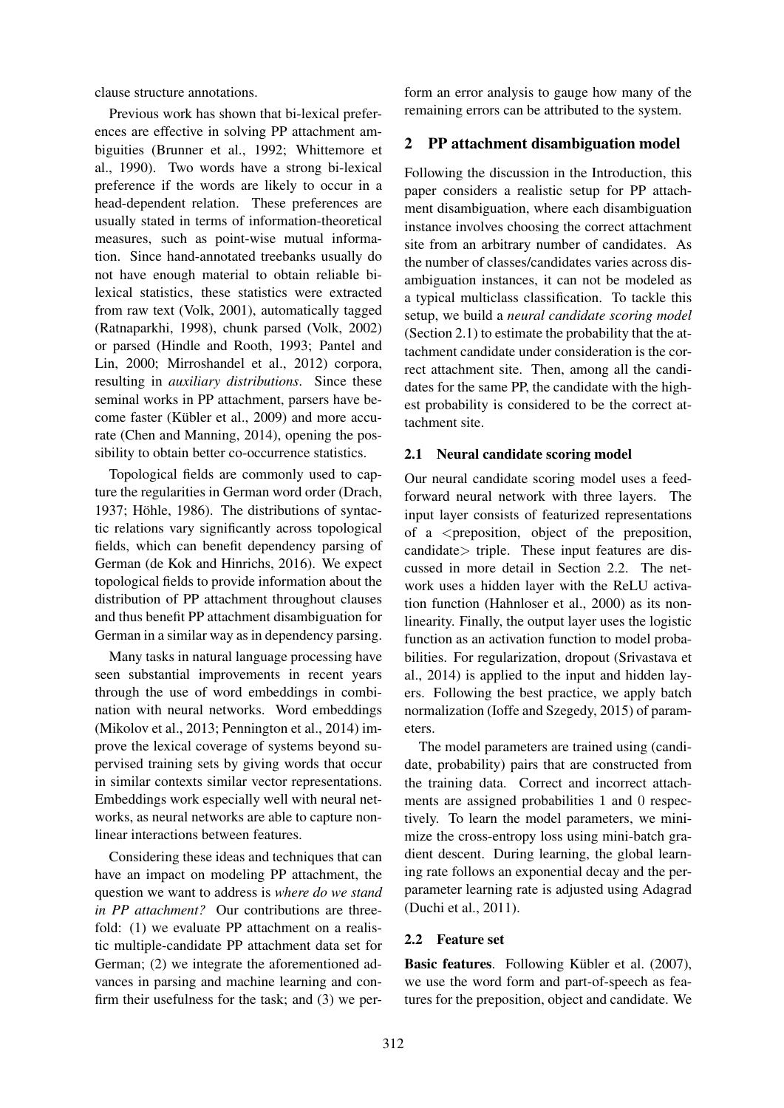clause structure annotations.

Previous work has shown that bi-lexical preferences are effective in solving PP attachment ambiguities (Brunner et al., 1992; Whittemore et al., 1990). Two words have a strong bi-lexical preference if the words are likely to occur in a head-dependent relation. These preferences are usually stated in terms of information-theoretical measures, such as point-wise mutual information. Since hand-annotated treebanks usually do not have enough material to obtain reliable bilexical statistics, these statistics were extracted from raw text (Volk, 2001), automatically tagged (Ratnaparkhi, 1998), chunk parsed (Volk, 2002) or parsed (Hindle and Rooth, 1993; Pantel and Lin, 2000; Mirroshandel et al., 2012) corpora, resulting in *auxiliary distributions*. Since these seminal works in PP attachment, parsers have become faster (Kübler et al., 2009) and more accurate (Chen and Manning, 2014), opening the possibility to obtain better co-occurrence statistics.

Topological fields are commonly used to capture the regularities in German word order (Drach, 1937; Höhle, 1986). The distributions of syntactic relations vary significantly across topological fields, which can benefit dependency parsing of German (de Kok and Hinrichs, 2016). We expect topological fields to provide information about the distribution of PP attachment throughout clauses and thus benefit PP attachment disambiguation for German in a similar way as in dependency parsing.

Many tasks in natural language processing have seen substantial improvements in recent years through the use of word embeddings in combination with neural networks. Word embeddings (Mikolov et al., 2013; Pennington et al., 2014) improve the lexical coverage of systems beyond supervised training sets by giving words that occur in similar contexts similar vector representations. Embeddings work especially well with neural networks, as neural networks are able to capture nonlinear interactions between features.

Considering these ideas and techniques that can have an impact on modeling PP attachment, the question we want to address is *where do we stand in PP attachment?* Our contributions are threefold: (1) we evaluate PP attachment on a realistic multiple-candidate PP attachment data set for German; (2) we integrate the aforementioned advances in parsing and machine learning and confirm their usefulness for the task; and (3) we per-

form an error analysis to gauge how many of the remaining errors can be attributed to the system.

### 2 PP attachment disambiguation model

Following the discussion in the Introduction, this paper considers a realistic setup for PP attachment disambiguation, where each disambiguation instance involves choosing the correct attachment site from an arbitrary number of candidates. As the number of classes/candidates varies across disambiguation instances, it can not be modeled as a typical multiclass classification. To tackle this setup, we build a *neural candidate scoring model* (Section 2.1) to estimate the probability that the attachment candidate under consideration is the correct attachment site. Then, among all the candidates for the same PP, the candidate with the highest probability is considered to be the correct attachment site.

#### 2.1 Neural candidate scoring model

Our neural candidate scoring model uses a feedforward neural network with three layers. The input layer consists of featurized representations of a <preposition, object of the preposition, candidate> triple. These input features are discussed in more detail in Section 2.2. The network uses a hidden layer with the ReLU activation function (Hahnloser et al., 2000) as its nonlinearity. Finally, the output layer uses the logistic function as an activation function to model probabilities. For regularization, dropout (Srivastava et al., 2014) is applied to the input and hidden layers. Following the best practice, we apply batch normalization (Ioffe and Szegedy, 2015) of parameters.

The model parameters are trained using (candidate, probability) pairs that are constructed from the training data. Correct and incorrect attachments are assigned probabilities 1 and 0 respectively. To learn the model parameters, we minimize the cross-entropy loss using mini-batch gradient descent. During learning, the global learning rate follows an exponential decay and the perparameter learning rate is adjusted using Adagrad (Duchi et al., 2011).

#### 2.2 Feature set

Basic features. Following Kübler et al. (2007), we use the word form and part-of-speech as features for the preposition, object and candidate. We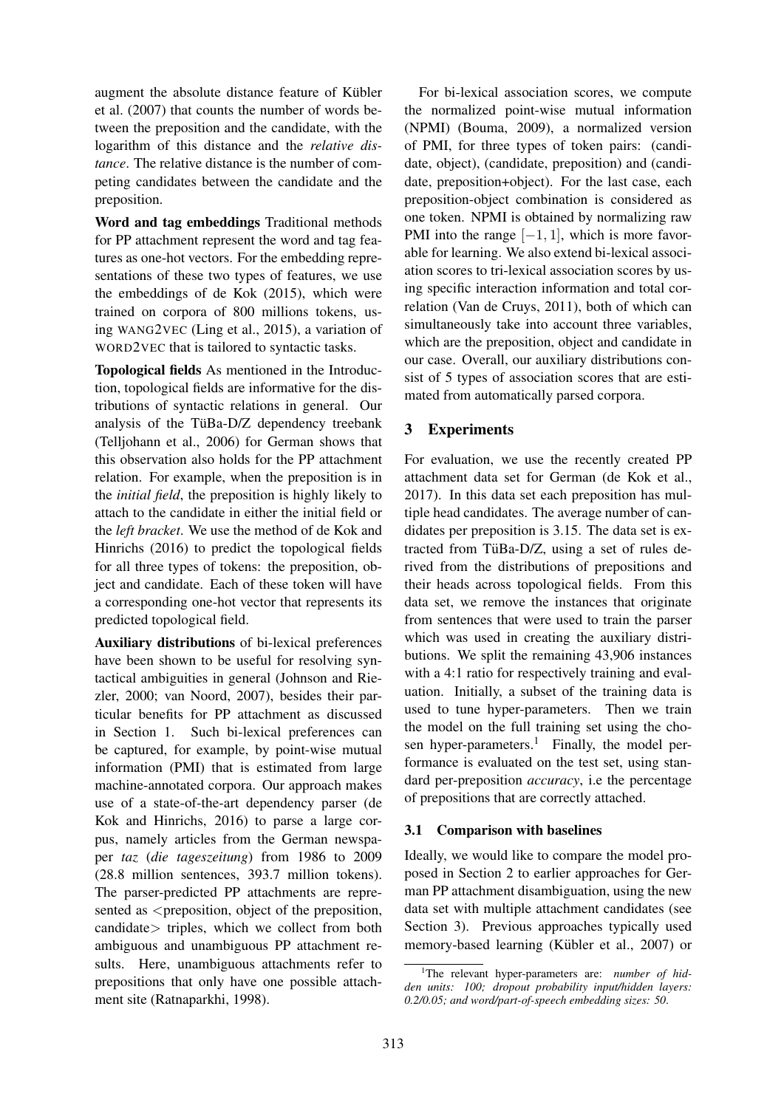augment the absolute distance feature of Kübler et al. (2007) that counts the number of words between the preposition and the candidate, with the logarithm of this distance and the *relative distance*. The relative distance is the number of competing candidates between the candidate and the preposition.

Word and tag embeddings Traditional methods for PP attachment represent the word and tag features as one-hot vectors. For the embedding representations of these two types of features, we use the embeddings of de Kok (2015), which were trained on corpora of 800 millions tokens, using WANG2VEC (Ling et al., 2015), a variation of WORD2VEC that is tailored to syntactic tasks.

Topological fields As mentioned in the Introduction, topological fields are informative for the distributions of syntactic relations in general. Our analysis of the TüBa-D/Z dependency treebank (Telljohann et al., 2006) for German shows that this observation also holds for the PP attachment relation. For example, when the preposition is in the *initial field*, the preposition is highly likely to attach to the candidate in either the initial field or the *left bracket*. We use the method of de Kok and Hinrichs (2016) to predict the topological fields for all three types of tokens: the preposition, object and candidate. Each of these token will have a corresponding one-hot vector that represents its predicted topological field.

Auxiliary distributions of bi-lexical preferences have been shown to be useful for resolving syntactical ambiguities in general (Johnson and Riezler, 2000; van Noord, 2007), besides their particular benefits for PP attachment as discussed in Section 1. Such bi-lexical preferences can be captured, for example, by point-wise mutual information (PMI) that is estimated from large machine-annotated corpora. Our approach makes use of a state-of-the-art dependency parser (de Kok and Hinrichs, 2016) to parse a large corpus, namely articles from the German newspaper *taz* (*die tageszeitung*) from 1986 to 2009 (28.8 million sentences, 393.7 million tokens). The parser-predicted PP attachments are represented as  $\leq$  preposition, object of the preposition, candidate> triples, which we collect from both ambiguous and unambiguous PP attachment results. Here, unambiguous attachments refer to prepositions that only have one possible attachment site (Ratnaparkhi, 1998).

For bi-lexical association scores, we compute the normalized point-wise mutual information (NPMI) (Bouma, 2009), a normalized version of PMI, for three types of token pairs: (candidate, object), (candidate, preposition) and (candidate, preposition+object). For the last case, each preposition-object combination is considered as one token. NPMI is obtained by normalizing raw PMI into the range  $[-1, 1]$ , which is more favorable for learning. We also extend bi-lexical association scores to tri-lexical association scores by using specific interaction information and total correlation (Van de Cruys, 2011), both of which can simultaneously take into account three variables, which are the preposition, object and candidate in our case. Overall, our auxiliary distributions consist of 5 types of association scores that are estimated from automatically parsed corpora.

## 3 Experiments

For evaluation, we use the recently created PP attachment data set for German (de Kok et al., 2017). In this data set each preposition has multiple head candidates. The average number of candidates per preposition is 3.15. The data set is extracted from TüBa-D/Z, using a set of rules derived from the distributions of prepositions and their heads across topological fields. From this data set, we remove the instances that originate from sentences that were used to train the parser which was used in creating the auxiliary distributions. We split the remaining 43,906 instances with a 4:1 ratio for respectively training and evaluation. Initially, a subset of the training data is used to tune hyper-parameters. Then we train the model on the full training set using the chosen hyper-parameters.<sup>1</sup> Finally, the model performance is evaluated on the test set, using standard per-preposition *accuracy*, i.e the percentage of prepositions that are correctly attached.

## 3.1 Comparison with baselines

Ideally, we would like to compare the model proposed in Section 2 to earlier approaches for German PP attachment disambiguation, using the new data set with multiple attachment candidates (see Section 3). Previous approaches typically used memory-based learning (Kübler et al., 2007) or

<sup>&</sup>lt;sup>1</sup>The relevant hyper-parameters are: *number of hidden units: 100; dropout probability input/hidden layers: 0.2/0.05; and word/part-of-speech embedding sizes: 50*.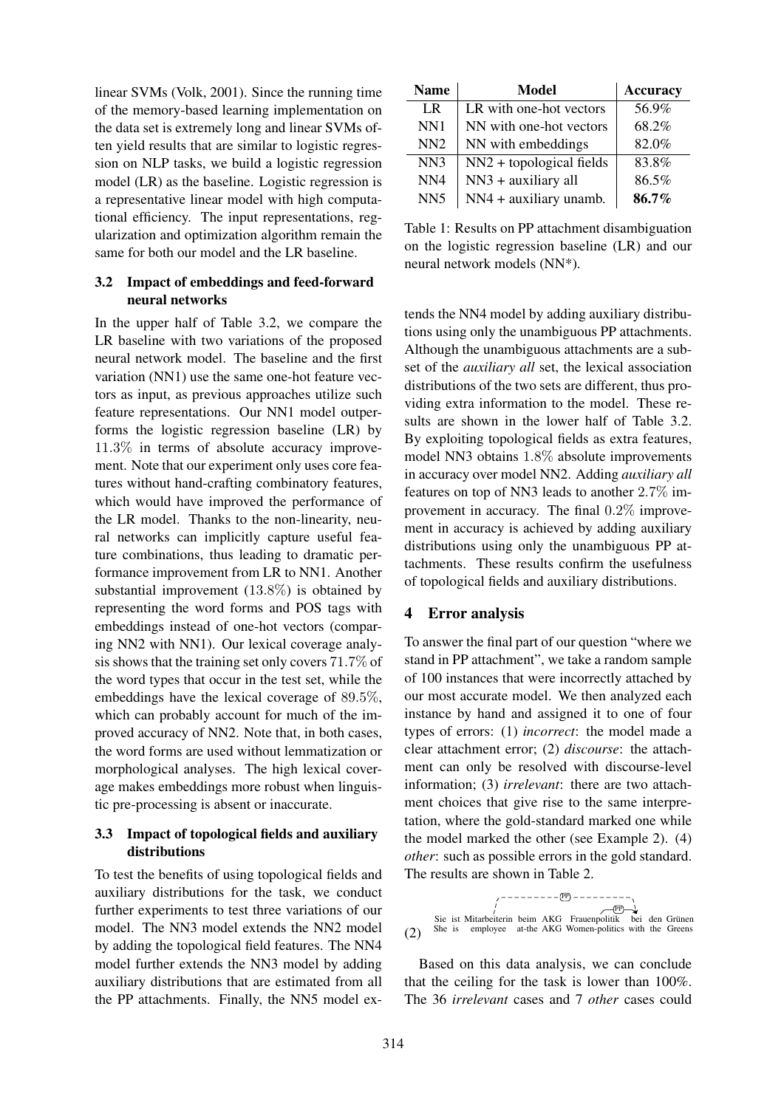linear SVMs (Volk, 2001). Since the running time of the memory-based learning implementation on the data set is extremely long and linear SVMs often yield results that are similar to logistic regression on NLP tasks, we build a logistic regression model (LR) as the baseline. Logistic regression is a representative linear model with high computational efficiency. The input representations, regularization and optimization algorithm remain the same for both our model and the LR baseline.

### 3.2 Impact of embeddings and feed-forward neural networks

In the upper half of Table 3.2, we compare the LR baseline with two variations of the proposed neural network model. The baseline and the first variation (NN1) use the same one-hot feature vectors as input, as previous approaches utilize such feature representations. Our NN1 model outperforms the logistic regression baseline (LR) by 11.3% in terms of absolute accuracy improvement. Note that our experiment only uses core features without hand-crafting combinatory features, which would have improved the performance of the LR model. Thanks to the non-linearity, neural networks can implicitly capture useful feature combinations, thus leading to dramatic performance improvement from LR to NN1. Another substantial improvement (13.8%) is obtained by representing the word forms and POS tags with embeddings instead of one-hot vectors (comparing NN2 with NN1). Our lexical coverage analysis shows that the training set only covers 71.7% of the word types that occur in the test set, while the embeddings have the lexical coverage of 89.5%, which can probably account for much of the improved accuracy of NN2. Note that, in both cases, the word forms are used without lemmatization or morphological analyses. The high lexical coverage makes embeddings more robust when linguistic pre-processing is absent or inaccurate.

## 3.3 Impact of topological fields and auxiliary distributions

To test the benefits of using topological fields and auxiliary distributions for the task, we conduct further experiments to test three variations of our model. The NN3 model extends the NN2 model by adding the topological field features. The NN4 model further extends the NN3 model by adding auxiliary distributions that are estimated from all the PP attachments. Finally, the NN5 model ex-

| <b>Name</b>     | Model                      | <b>Accuracy</b> |
|-----------------|----------------------------|-----------------|
| LR.             | LR with one-hot vectors    | 56.9%           |
| NN1             | NN with one-hot vectors    | 68.2%           |
| NN2             | NN with embeddings         | 82.0%           |
| NN3             | $NN2 + topological fields$ | 83.8%           |
| NN <sub>4</sub> | $NN3 + auxiliary$ all      | 86.5%           |
| NN <sub>5</sub> | $NN4 + auxiliary$ unamb.   | 86.7%           |

Table 1: Results on PP attachment disambiguation on the logistic regression baseline (LR) and our neural network models (NN\*).

tends the NN4 model by adding auxiliary distributions using only the unambiguous PP attachments. Although the unambiguous attachments are a subset of the *auxiliary all* set, the lexical association distributions of the two sets are different, thus providing extra information to the model. These results are shown in the lower half of Table 3.2. By exploiting topological fields as extra features, model NN3 obtains 1.8% absolute improvements in accuracy over model NN2. Adding *auxiliary all* features on top of NN3 leads to another 2.7% improvement in accuracy. The final 0.2% improvement in accuracy is achieved by adding auxiliary distributions using only the unambiguous PP attachments. These results confirm the usefulness of topological fields and auxiliary distributions.

## 4 Error analysis

To answer the final part of our question "where we stand in PP attachment", we take a random sample of 100 instances that were incorrectly attached by our most accurate model. We then analyzed each instance by hand and assigned it to one of four types of errors: (1) *incorrect*: the model made a clear attachment error; (2) *discourse*: the attachment can only be resolved with discourse-level information; (3) *irrelevant*: there are two attachment choices that give rise to the same interpretation, where the gold-standard marked one while the model marked the other (see Example 2). (4) *other*: such as possible errors in the gold standard. The results are shown in Table 2.



Based on this data analysis, we can conclude that the ceiling for the task is lower than 100%. The 36 *irrelevant* cases and 7 *other* cases could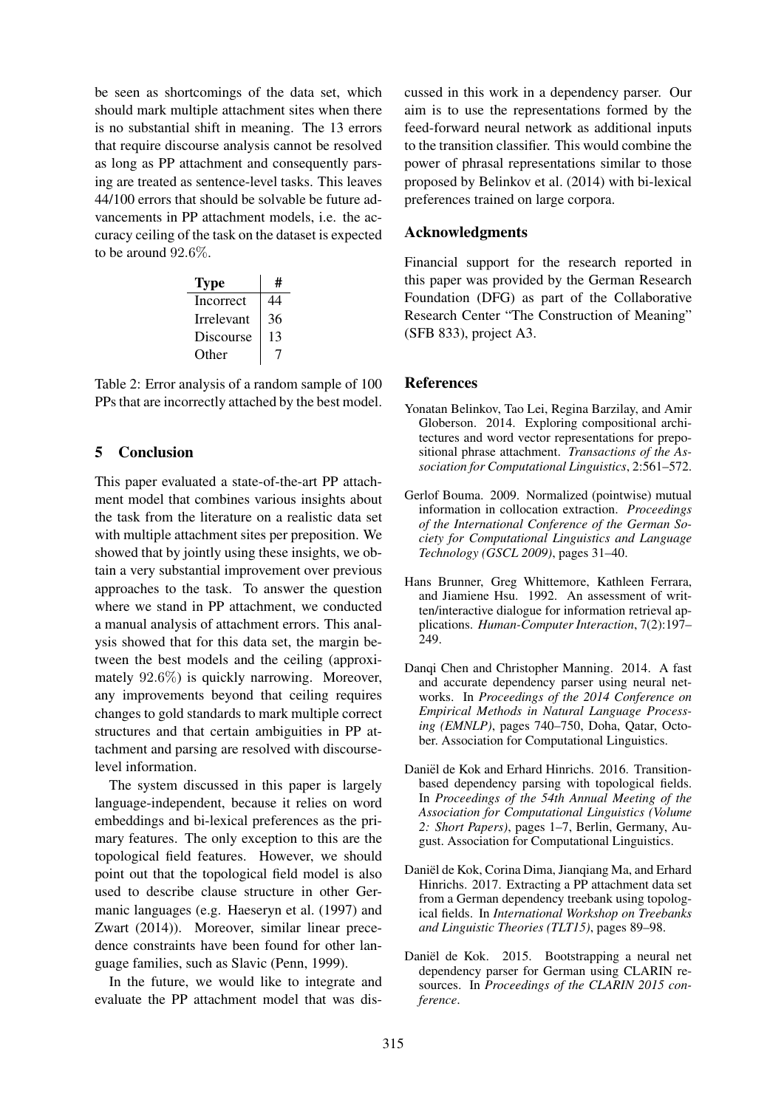be seen as shortcomings of the data set, which should mark multiple attachment sites when there is no substantial shift in meaning. The 13 errors that require discourse analysis cannot be resolved as long as PP attachment and consequently parsing are treated as sentence-level tasks. This leaves 44/100 errors that should be solvable be future advancements in PP attachment models, i.e. the accuracy ceiling of the task on the dataset is expected to be around 92.6%.

| <b>Type</b> | #  |
|-------------|----|
| Incorrect   | 44 |
| Irrelevant  | 36 |
| Discourse   | 13 |
| Other       |    |

Table 2: Error analysis of a random sample of 100 PPs that are incorrectly attached by the best model.

## 5 Conclusion

This paper evaluated a state-of-the-art PP attachment model that combines various insights about the task from the literature on a realistic data set with multiple attachment sites per preposition. We showed that by jointly using these insights, we obtain a very substantial improvement over previous approaches to the task. To answer the question where we stand in PP attachment, we conducted a manual analysis of attachment errors. This analysis showed that for this data set, the margin between the best models and the ceiling (approximately 92.6%) is quickly narrowing. Moreover, any improvements beyond that ceiling requires changes to gold standards to mark multiple correct structures and that certain ambiguities in PP attachment and parsing are resolved with discourselevel information.

The system discussed in this paper is largely language-independent, because it relies on word embeddings and bi-lexical preferences as the primary features. The only exception to this are the topological field features. However, we should point out that the topological field model is also used to describe clause structure in other Germanic languages (e.g. Haeseryn et al. (1997) and Zwart (2014)). Moreover, similar linear precedence constraints have been found for other language families, such as Slavic (Penn, 1999).

In the future, we would like to integrate and evaluate the PP attachment model that was dis-

cussed in this work in a dependency parser. Our aim is to use the representations formed by the feed-forward neural network as additional inputs to the transition classifier. This would combine the power of phrasal representations similar to those proposed by Belinkov et al. (2014) with bi-lexical preferences trained on large corpora.

### Acknowledgments

Financial support for the research reported in this paper was provided by the German Research Foundation (DFG) as part of the Collaborative Research Center "The Construction of Meaning" (SFB 833), project A3.

#### References

- Yonatan Belinkov, Tao Lei, Regina Barzilay, and Amir Globerson. 2014. Exploring compositional architectures and word vector representations for prepositional phrase attachment. *Transactions of the Association for Computational Linguistics*, 2:561–572.
- Gerlof Bouma. 2009. Normalized (pointwise) mutual information in collocation extraction. *Proceedings of the International Conference of the German Society for Computational Linguistics and Language Technology (GSCL 2009)*, pages 31–40.
- Hans Brunner, Greg Whittemore, Kathleen Ferrara, and Jiamiene Hsu. 1992. An assessment of written/interactive dialogue for information retrieval applications. *Human-Computer Interaction*, 7(2):197– 249.
- Danqi Chen and Christopher Manning. 2014. A fast and accurate dependency parser using neural networks. In *Proceedings of the 2014 Conference on Empirical Methods in Natural Language Processing (EMNLP)*, pages 740–750, Doha, Qatar, October. Association for Computational Linguistics.
- Daniël de Kok and Erhard Hinrichs. 2016. Transitionbased dependency parsing with topological fields. In *Proceedings of the 54th Annual Meeting of the Association for Computational Linguistics (Volume 2: Short Papers)*, pages 1–7, Berlin, Germany, August. Association for Computational Linguistics.
- Daniël de Kok, Corina Dima, Jianqiang Ma, and Erhard Hinrichs. 2017. Extracting a PP attachment data set from a German dependency treebank using topological fields. In *International Workshop on Treebanks and Linguistic Theories (TLT15)*, pages 89–98.
- Daniël de Kok. 2015. Bootstrapping a neural net dependency parser for German using CLARIN resources. In *Proceedings of the CLARIN 2015 conference*.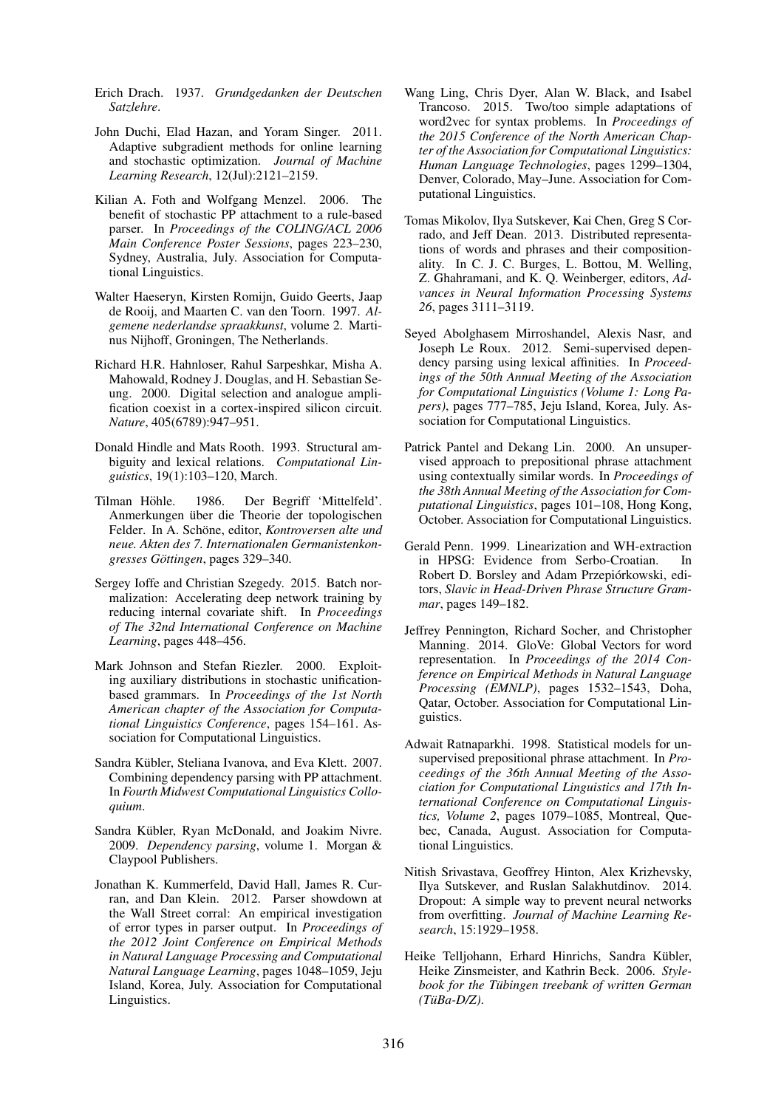- Erich Drach. 1937. *Grundgedanken der Deutschen Satzlehre*.
- John Duchi, Elad Hazan, and Yoram Singer. 2011. Adaptive subgradient methods for online learning and stochastic optimization. *Journal of Machine Learning Research*, 12(Jul):2121–2159.
- Kilian A. Foth and Wolfgang Menzel. 2006. The benefit of stochastic PP attachment to a rule-based parser. In *Proceedings of the COLING/ACL 2006 Main Conference Poster Sessions*, pages 223–230, Sydney, Australia, July. Association for Computational Linguistics.
- Walter Haeseryn, Kirsten Romijn, Guido Geerts, Jaap de Rooij, and Maarten C. van den Toorn. 1997. *Algemene nederlandse spraakkunst*, volume 2. Martinus Nijhoff, Groningen, The Netherlands.
- Richard H.R. Hahnloser, Rahul Sarpeshkar, Misha A. Mahowald, Rodney J. Douglas, and H. Sebastian Seung. 2000. Digital selection and analogue amplification coexist in a cortex-inspired silicon circuit. *Nature*, 405(6789):947–951.
- Donald Hindle and Mats Rooth. 1993. Structural ambiguity and lexical relations. *Computational Linguistics*, 19(1):103–120, March.
- Tilman Höhle. 1986. Der Begriff 'Mittelfeld'. Anmerkungen über die Theorie der topologischen Felder. In A. Schöne, editor, *Kontroversen alte und neue. Akten des 7. Internationalen Germanistenkongresses Gottingen ¨* , pages 329–340.
- Sergey Ioffe and Christian Szegedy. 2015. Batch normalization: Accelerating deep network training by reducing internal covariate shift. In *Proceedings of The 32nd International Conference on Machine Learning*, pages 448–456.
- Mark Johnson and Stefan Riezler. 2000. Exploiting auxiliary distributions in stochastic unificationbased grammars. In *Proceedings of the 1st North American chapter of the Association for Computational Linguistics Conference*, pages 154–161. Association for Computational Linguistics.
- Sandra Kübler, Steliana Ivanova, and Eva Klett. 2007. Combining dependency parsing with PP attachment. In *Fourth Midwest Computational Linguistics Colloquium*.
- Sandra Kübler, Ryan McDonald, and Joakim Nivre. 2009. *Dependency parsing*, volume 1. Morgan & Claypool Publishers.
- Jonathan K. Kummerfeld, David Hall, James R. Curran, and Dan Klein. 2012. Parser showdown at the Wall Street corral: An empirical investigation of error types in parser output. In *Proceedings of the 2012 Joint Conference on Empirical Methods in Natural Language Processing and Computational Natural Language Learning*, pages 1048–1059, Jeju Island, Korea, July. Association for Computational Linguistics.
- Wang Ling, Chris Dyer, Alan W. Black, and Isabel Trancoso. 2015. Two/too simple adaptations of word2vec for syntax problems. In *Proceedings of the 2015 Conference of the North American Chapter of the Association for Computational Linguistics: Human Language Technologies*, pages 1299–1304, Denver, Colorado, May–June. Association for Computational Linguistics.
- Tomas Mikolov, Ilya Sutskever, Kai Chen, Greg S Corrado, and Jeff Dean. 2013. Distributed representations of words and phrases and their compositionality. In C. J. C. Burges, L. Bottou, M. Welling, Z. Ghahramani, and K. Q. Weinberger, editors, *Advances in Neural Information Processing Systems 26*, pages 3111–3119.
- Seyed Abolghasem Mirroshandel, Alexis Nasr, and Joseph Le Roux. 2012. Semi-supervised dependency parsing using lexical affinities. In *Proceedings of the 50th Annual Meeting of the Association for Computational Linguistics (Volume 1: Long Papers)*, pages 777–785, Jeju Island, Korea, July. Association for Computational Linguistics.
- Patrick Pantel and Dekang Lin. 2000. An unsupervised approach to prepositional phrase attachment using contextually similar words. In *Proceedings of the 38th Annual Meeting of the Association for Computational Linguistics*, pages 101–108, Hong Kong, October. Association for Computational Linguistics.
- Gerald Penn. 1999. Linearization and WH-extraction in HPSG: Evidence from Serbo-Croatian. In Robert D. Borsley and Adam Przepiórkowski, editors, *Slavic in Head-Driven Phrase Structure Grammar*, pages 149–182.
- Jeffrey Pennington, Richard Socher, and Christopher Manning. 2014. GloVe: Global Vectors for word representation. In *Proceedings of the 2014 Conference on Empirical Methods in Natural Language Processing (EMNLP)*, pages 1532–1543, Doha, Qatar, October. Association for Computational Linguistics.
- Adwait Ratnaparkhi. 1998. Statistical models for unsupervised prepositional phrase attachment. In *Proceedings of the 36th Annual Meeting of the Association for Computational Linguistics and 17th International Conference on Computational Linguistics, Volume 2*, pages 1079–1085, Montreal, Quebec, Canada, August. Association for Computational Linguistics.
- Nitish Srivastava, Geoffrey Hinton, Alex Krizhevsky, Ilya Sutskever, and Ruslan Salakhutdinov. 2014. Dropout: A simple way to prevent neural networks from overfitting. *Journal of Machine Learning Research*, 15:1929–1958.
- Heike Telljohann, Erhard Hinrichs, Sandra Kübler, Heike Zinsmeister, and Kathrin Beck. 2006. *Stylebook for the Tübingen treebank of written German (TuBa-D/Z) ¨* .